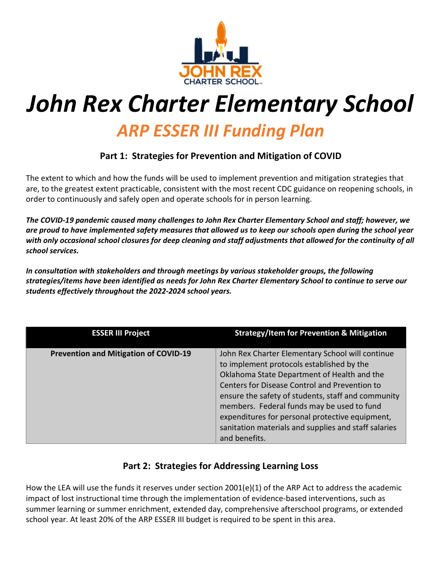

# John Rex Charter Elementary School

# ARP ESSER III Funding Plan

## Part 1: Strategies for Prevention and Mitigation of COVID

The extent to which and how the funds will be used to implement prevention and mitigation strategies that are, to the greatest extent practicable, consistent with the most recent CDC guidance on reopening schools, in order to continuously and safely open and operate schools for in person learning.

The COVID-19 pandemic caused many challenges to John Rex Charter Elementary School and staff; however, we are proud to have implemented safety measures that allowed us to keep our schools open during the school year with only occasional school closures for deep cleaning and staff adjustments that allowed for the continuity of all school services.

In consultation with stakeholders and through meetings by various stakeholder groups, the following strategies/items have been identified as needs for John Rex Charter Elementary School to continue to serve our students effectively throughout the 2022-2024 school years.

| <b>ESSER III Project</b>                     | <b>Strategy/Item for Prevention &amp; Mitigation</b>                                                                                                                                                                                                                                                                                                                                                                          |
|----------------------------------------------|-------------------------------------------------------------------------------------------------------------------------------------------------------------------------------------------------------------------------------------------------------------------------------------------------------------------------------------------------------------------------------------------------------------------------------|
| <b>Prevention and Mitigation of COVID-19</b> | John Rex Charter Elementary School will continue<br>to implement protocols established by the<br>Oklahoma State Department of Health and the<br>Centers for Disease Control and Prevention to<br>ensure the safety of students, staff and community<br>members. Federal funds may be used to fund<br>expenditures for personal protective equipment,<br>sanitation materials and supplies and staff salaries<br>and benefits. |

## Part 2: Strategies for Addressing Learning Loss

How the LEA will use the funds it reserves under section 2001(e)(1) of the ARP Act to address the academic impact of lost instructional time through the implementation of evidence-based interventions, such as summer learning or summer enrichment, extended day, comprehensive afterschool programs, or extended school year. At least 20% of the ARP ESSER III budget is required to be spent in this area.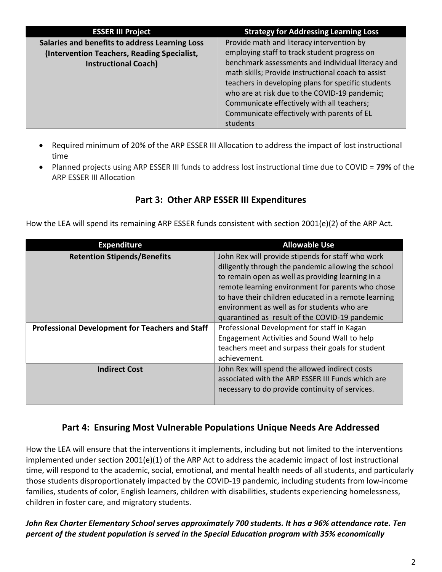| <b>ESSER III Project</b>                       | <b>Strategy for Addressing Learning Loss</b>       |
|------------------------------------------------|----------------------------------------------------|
| Salaries and benefits to address Learning Loss | Provide math and literacy intervention by          |
| (Intervention Teachers, Reading Specialist,    | employing staff to track student progress on       |
| <b>Instructional Coach)</b>                    | benchmark assessments and individual literacy and  |
|                                                | math skills; Provide instructional coach to assist |
|                                                | teachers in developing plans for specific students |
|                                                | who are at risk due to the COVID-19 pandemic;      |
|                                                | Communicate effectively with all teachers;         |
|                                                | Communicate effectively with parents of EL         |
|                                                | students                                           |

- Required minimum of 20% of the ARP ESSER III Allocation to address the impact of lost instructional time
- Planned projects using ARP ESSER III funds to address lost instructional time due to COVID = 79% of the ARP ESSER III Allocation

## Part 3: Other ARP ESSER III Expenditures

How the LEA will spend its remaining ARP ESSER funds consistent with section 2001(e)(2) of the ARP Act.

| <b>Expenditure</b>                                     | <b>Allowable Use</b>                                                                                                                                                                                                                                                                                                                                                        |
|--------------------------------------------------------|-----------------------------------------------------------------------------------------------------------------------------------------------------------------------------------------------------------------------------------------------------------------------------------------------------------------------------------------------------------------------------|
| <b>Retention Stipends/Benefits</b>                     | John Rex will provide stipends for staff who work<br>diligently through the pandemic allowing the school<br>to remain open as well as providing learning in a<br>remote learning environment for parents who chose<br>to have their children educated in a remote learning<br>environment as well as for students who are<br>quarantined as result of the COVID-19 pandemic |
| <b>Professional Development for Teachers and Staff</b> | Professional Development for staff in Kagan<br>Engagement Activities and Sound Wall to help<br>teachers meet and surpass their goals for student<br>achievement.                                                                                                                                                                                                            |
| <b>Indirect Cost</b>                                   | John Rex will spend the allowed indirect costs<br>associated with the ARP ESSER III Funds which are<br>necessary to do provide continuity of services.                                                                                                                                                                                                                      |

#### Part 4: Ensuring Most Vulnerable Populations Unique Needs Are Addressed

How the LEA will ensure that the interventions it implements, including but not limited to the interventions implemented under section 2001(e)(1) of the ARP Act to address the academic impact of lost instructional time, will respond to the academic, social, emotional, and mental health needs of all students, and particularly those students disproportionately impacted by the COVID-19 pandemic, including students from low-income families, students of color, English learners, children with disabilities, students experiencing homelessness, children in foster care, and migratory students.

#### John Rex Charter Elementary School serves approximately 700 students. It has a 96% attendance rate. Ten percent of the student population is served in the Special Education program with 35% economically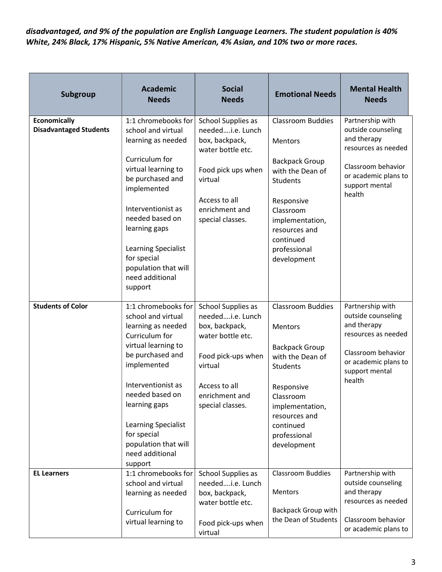disadvantaged, and 9% of the population are English Language Learners. The student population is 40% White, 24% Black, 17% Hispanic, 5% Native American, 4% Asian, and 10% two or more races.

| Subgroup                                             | <b>Academic</b><br><b>Needs</b>                                                                                                                                                                                                                                                                   | <b>Social</b><br><b>Needs</b>                                                                                                                                         | <b>Emotional Needs</b>                                                                                                                                                                                         | <b>Mental Health</b><br><b>Needs</b>                                                                                                                   |
|------------------------------------------------------|---------------------------------------------------------------------------------------------------------------------------------------------------------------------------------------------------------------------------------------------------------------------------------------------------|-----------------------------------------------------------------------------------------------------------------------------------------------------------------------|----------------------------------------------------------------------------------------------------------------------------------------------------------------------------------------------------------------|--------------------------------------------------------------------------------------------------------------------------------------------------------|
| <b>Economically</b><br><b>Disadvantaged Students</b> | 1:1 chromebooks for<br>school and virtual<br>learning as needed<br>Curriculum for<br>virtual learning to<br>be purchased and<br>implemented<br>Interventionist as<br>needed based on<br>learning gaps<br>Learning Specialist<br>for special<br>population that will<br>need additional<br>support | School Supplies as<br>neededi.e. Lunch<br>box, backpack,<br>water bottle etc.<br>Food pick ups when<br>virtual<br>Access to all<br>enrichment and<br>special classes. | <b>Classroom Buddies</b><br><b>Mentors</b><br><b>Backpack Group</b><br>with the Dean of<br>Students<br>Responsive<br>Classroom<br>implementation,<br>resources and<br>continued<br>professional<br>development | Partnership with<br>outside counseling<br>and therapy<br>resources as needed<br>Classroom behavior<br>or academic plans to<br>support mental<br>health |
| <b>Students of Color</b>                             | 1:1 chromebooks for<br>school and virtual<br>learning as needed<br>Curriculum for<br>virtual learning to<br>be purchased and<br>implemented<br>Interventionist as<br>needed based on<br>learning gaps<br>Learning Specialist<br>for special<br>population that will<br>need additional<br>support | School Supplies as<br>neededi.e. Lunch<br>box, backpack,<br>water bottle etc.<br>Food pick-ups when<br>virtual<br>Access to all<br>enrichment and<br>special classes. | <b>Classroom Buddies</b><br><b>Mentors</b><br><b>Backpack Group</b><br>with the Dean of<br>Students<br>Responsive<br>Classroom<br>implementation,<br>resources and<br>continued<br>professional<br>development | Partnership with<br>outside counseling<br>and therapy<br>resources as needed<br>Classroom behavior<br>or academic plans to<br>support mental<br>health |
| <b>EL Learners</b>                                   | 1:1 chromebooks for<br>school and virtual<br>learning as needed<br>Curriculum for<br>virtual learning to                                                                                                                                                                                          | School Supplies as<br>neededi.e. Lunch<br>box, backpack,<br>water bottle etc.<br>Food pick-ups when<br>virtual                                                        | <b>Classroom Buddies</b><br>Mentors<br><b>Backpack Group with</b><br>the Dean of Students                                                                                                                      | Partnership with<br>outside counseling<br>and therapy<br>resources as needed<br>Classroom behavior<br>or academic plans to                             |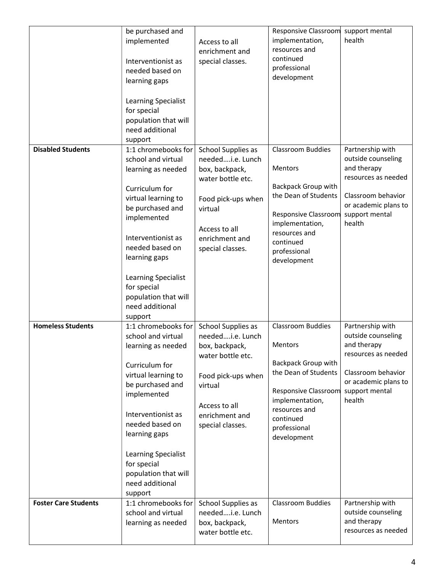|                                                      | be purchased and<br>implemented<br>Interventionist as<br>needed based on<br>learning gaps<br>Learning Specialist<br>for special<br>population that will<br>need additional<br>support                                                                                                             | Access to all<br>enrichment and<br>special classes.                                                                                                                   | Responsive Classroom<br>implementation,<br>resources and<br>continued<br>professional<br>development                                                                                                                                         | support mental<br>health                                                                                                                               |
|------------------------------------------------------|---------------------------------------------------------------------------------------------------------------------------------------------------------------------------------------------------------------------------------------------------------------------------------------------------|-----------------------------------------------------------------------------------------------------------------------------------------------------------------------|----------------------------------------------------------------------------------------------------------------------------------------------------------------------------------------------------------------------------------------------|--------------------------------------------------------------------------------------------------------------------------------------------------------|
| <b>Disabled Students</b><br><b>Homeless Students</b> | 1:1 chromebooks for<br>school and virtual<br>learning as needed<br>Curriculum for<br>virtual learning to<br>be purchased and<br>implemented<br>Interventionist as<br>needed based on<br>learning gaps<br>Learning Specialist<br>for special<br>population that will<br>need additional<br>support | School Supplies as<br>neededi.e. Lunch<br>box, backpack,<br>water bottle etc.<br>Food pick-ups when<br>virtual<br>Access to all<br>enrichment and<br>special classes. | <b>Classroom Buddies</b><br>Mentors<br><b>Backpack Group with</b><br>the Dean of Students<br>Responsive Classroom support mental<br>implementation,<br>resources and<br>continued<br>professional<br>development<br><b>Classroom Buddies</b> | Partnership with<br>outside counseling<br>and therapy<br>resources as needed<br>Classroom behavior<br>or academic plans to<br>health                   |
|                                                      | 1:1 chromebooks for<br>school and virtual<br>learning as needed<br>Curriculum for<br>virtual learning to<br>be purchased and<br>implemented<br>Interventionist as<br>needed based on<br>learning gaps<br>Learning Specialist<br>for special<br>population that will<br>need additional<br>support | School Supplies as<br>neededi.e. Lunch<br>box, backpack,<br>water bottle etc.<br>Food pick-ups when<br>virtual<br>Access to all<br>enrichment and<br>special classes. | Mentors<br><b>Backpack Group with</b><br>the Dean of Students<br>Responsive Classroom<br>implementation,<br>resources and<br>continued<br>professional<br>development                                                                        | Partnership with<br>outside counseling<br>and therapy<br>resources as needed<br>Classroom behavior<br>or academic plans to<br>support mental<br>health |
| <b>Foster Care Students</b>                          | 1:1 chromebooks for<br>school and virtual<br>learning as needed                                                                                                                                                                                                                                   | School Supplies as<br>neededi.e. Lunch<br>box, backpack,<br>water bottle etc.                                                                                         | <b>Classroom Buddies</b><br>Mentors                                                                                                                                                                                                          | Partnership with<br>outside counseling<br>and therapy<br>resources as needed                                                                           |